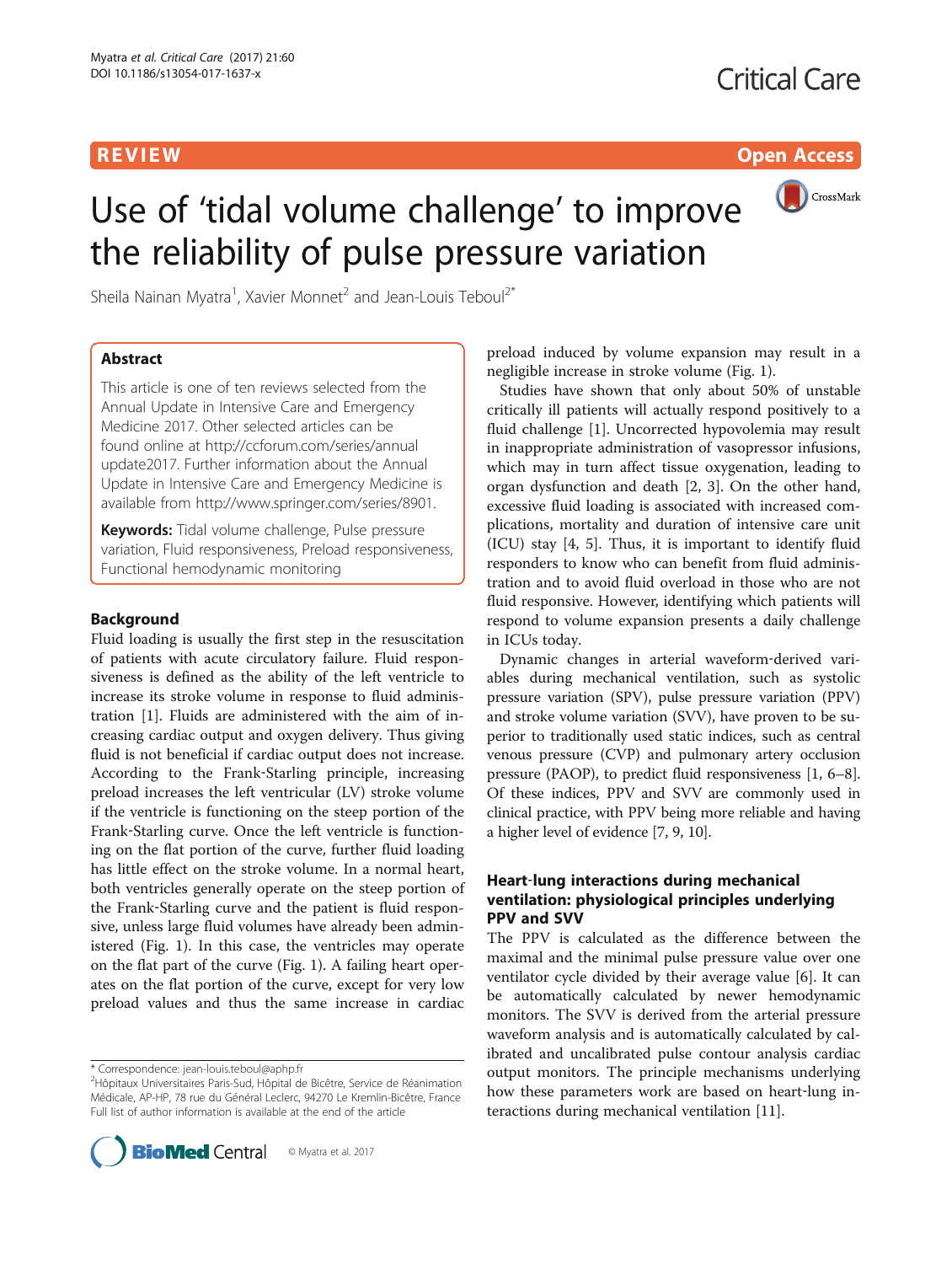R EVI EW Open Access

# CrossMark Use of 'tidal volume challenge' to improve the reliability of pulse pressure variation

Sheila Nainan Myatra<sup>1</sup>, Xavier Monnet<sup>2</sup> and Jean-Louis Teboul<sup>2\*</sup>

### Abstract

This article is one of ten reviews selected from the Annual Update in Intensive Care and Emergency Medicine 2017. Other selected articles can be found online at [http://ccforum.com/series/annual](http://ccforum.com/series/annualupdate2017) [update2017.](http://ccforum.com/series/annualupdate2017) Further information about the Annual Update in Intensive Care and Emergency Medicine is available from<http://www.springer.com/series/8901>.

**Keywords:** Tidal volume challenge, Pulse pressure variation, Fluid responsiveness, Preload responsiveness, Functional hemodynamic monitoring

### Background

Fluid loading is usually the first step in the resuscitation of patients with acute circulatory failure. Fluid responsiveness is defined as the ability of the left ventricle to increase its stroke volume in response to fluid administration [[1](#page-4-0)]. Fluids are administered with the aim of increasing cardiac output and oxygen delivery. Thus giving fluid is not beneficial if cardiac output does not increase. According to the Frank‐Starling principle, increasing preload increases the left ventricular (LV) stroke volume if the ventricle is functioning on the steep portion of the Frank‐Starling curve. Once the left ventricle is functioning on the flat portion of the curve, further fluid loading has little effect on the stroke volume. In a normal heart, both ventricles generally operate on the steep portion of the Frank‐Starling curve and the patient is fluid responsive, unless large fluid volumes have already been administered (Fig. [1\)](#page-1-0). In this case, the ventricles may operate on the flat part of the curve (Fig. [1\)](#page-1-0). A failing heart operates on the flat portion of the curve, except for very low preload values and thus the same increase in cardiac

<sup>&</sup>lt;sup>2</sup>Hôpitaux Universitaires Paris-Sud, Hôpital de Bicêtre, Service de Réanimation Médicale, AP-HP, 78 rue du Général Leclerc, 94270 Le Kremlin-Bicêtre, France Full list of author information is available at the end of the article



preload induced by volume expansion may result in a negligible increase in stroke volume (Fig. [1](#page-1-0)).

Studies have shown that only about 50% of unstable critically ill patients will actually respond positively to a fluid challenge [[1](#page-4-0)]. Uncorrected hypovolemia may result in inappropriate administration of vasopressor infusions, which may in turn affect tissue oxygenation, leading to organ dysfunction and death [[2, 3\]](#page-4-0). On the other hand, excessive fluid loading is associated with increased complications, mortality and duration of intensive care unit (ICU) stay [\[4](#page-4-0), [5](#page-4-0)]. Thus, it is important to identify fluid responders to know who can benefit from fluid administration and to avoid fluid overload in those who are not fluid responsive. However, identifying which patients will respond to volume expansion presents a daily challenge in ICUs today.

Dynamic changes in arterial waveform‐derived variables during mechanical ventilation, such as systolic pressure variation (SPV), pulse pressure variation (PPV) and stroke volume variation (SVV), have proven to be superior to traditionally used static indices, such as central venous pressure (CVP) and pulmonary artery occlusion pressure (PAOP), to predict fluid responsiveness [[1](#page-4-0), [6](#page-4-0)–[8](#page-4-0)]. Of these indices, PPV and SVV are commonly used in clinical practice, with PPV being more reliable and having a higher level of evidence [\[7](#page-4-0), [9, 10](#page-4-0)].

### Heart‐lung interactions during mechanical ventilation: physiological principles underlying PPV and SVV

The PPV is calculated as the difference between the maximal and the minimal pulse pressure value over one ventilator cycle divided by their average value [[6\]](#page-4-0). It can be automatically calculated by newer hemodynamic monitors. The SVV is derived from the arterial pressure waveform analysis and is automatically calculated by calibrated and uncalibrated pulse contour analysis cardiac output monitors. The principle mechanisms underlying how these parameters work are based on heart-lung interactions during mechanical ventilation [[11\]](#page-4-0).

<sup>\*</sup> Correspondence: [jean-louis.teboul@aphp.fr](mailto:jean-louis.teboul@aphp.fr) <sup>2</sup>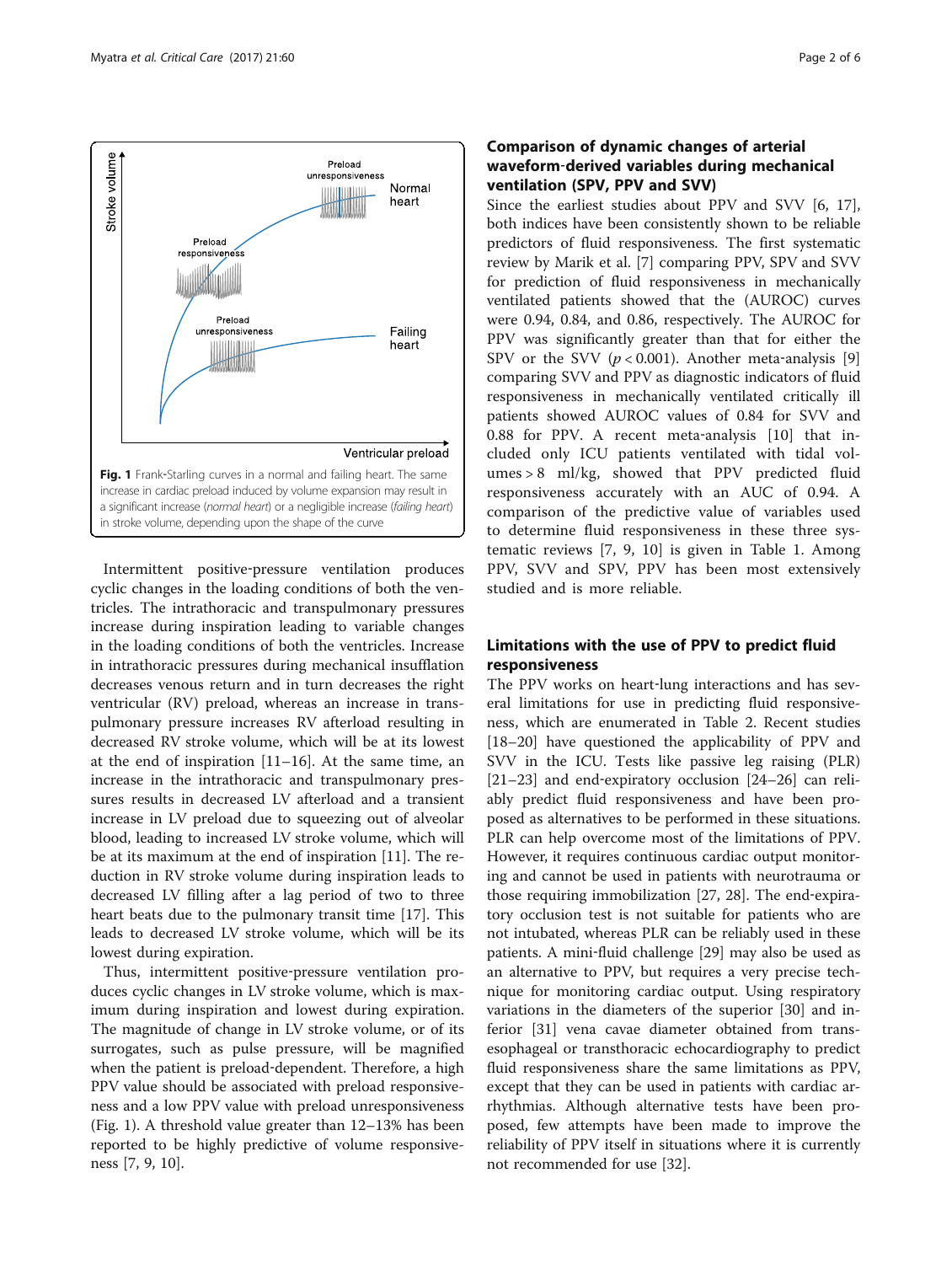<span id="page-1-0"></span>

Intermittent positive‐pressure ventilation produces cyclic changes in the loading conditions of both the ventricles. The intrathoracic and transpulmonary pressures increase during inspiration leading to variable changes in the loading conditions of both the ventricles. Increase in intrathoracic pressures during mechanical insufflation decreases venous return and in turn decreases the right ventricular (RV) preload, whereas an increase in transpulmonary pressure increases RV afterload resulting in decreased RV stroke volume, which will be at its lowest at the end of inspiration [\[11](#page-4-0)–[16\]](#page-4-0). At the same time, an increase in the intrathoracic and transpulmonary pressures results in decreased LV afterload and a transient increase in LV preload due to squeezing out of alveolar blood, leading to increased LV stroke volume, which will be at its maximum at the end of inspiration [[11\]](#page-4-0). The reduction in RV stroke volume during inspiration leads to decreased LV filling after a lag period of two to three heart beats due to the pulmonary transit time [[17\]](#page-4-0). This leads to decreased LV stroke volume, which will be its lowest during expiration.

Thus, intermittent positive‐pressure ventilation produces cyclic changes in LV stroke volume, which is maximum during inspiration and lowest during expiration. The magnitude of change in LV stroke volume, or of its surrogates, such as pulse pressure, will be magnified when the patient is preload-dependent. Therefore, a high PPV value should be associated with preload responsiveness and a low PPV value with preload unresponsiveness (Fig. 1). A threshold value greater than 12–13% has been reported to be highly predictive of volume responsiveness [\[7](#page-4-0), [9](#page-4-0), [10\]](#page-4-0).

### Comparison of dynamic changes of arterial waveform‐derived variables during mechanical ventilation (SPV, PPV and SVV)

Since the earliest studies about PPV and SVV [[6, 17](#page-4-0)], both indices have been consistently shown to be reliable predictors of fluid responsiveness. The first systematic review by Marik et al. [\[7](#page-4-0)] comparing PPV, SPV and SVV for prediction of fluid responsiveness in mechanically ventilated patients showed that the (AUROC) curves were 0.94, 0.84, and 0.86, respectively. The AUROC for PPV was significantly greater than that for either the SPV or the SVV  $(p < 0.001)$ . Another meta-analysis [\[9](#page-4-0)] comparing SVV and PPV as diagnostic indicators of fluid responsiveness in mechanically ventilated critically ill patients showed AUROC values of 0.84 for SVV and 0.88 for PPV. A recent meta‐analysis [[10\]](#page-4-0) that included only ICU patients ventilated with tidal volumes > 8 ml/kg, showed that PPV predicted fluid responsiveness accurately with an AUC of 0.94. A comparison of the predictive value of variables used to determine fluid responsiveness in these three systematic reviews [[7, 9](#page-4-0), [10\]](#page-4-0) is given in Table [1](#page-2-0). Among PPV, SVV and SPV, PPV has been most extensively studied and is more reliable.

## Limitations with the use of PPV to predict fluid responsiveness

The PPV works on heart-lung interactions and has several limitations for use in predicting fluid responsiveness, which are enumerated in Table [2](#page-2-0). Recent studies [[18](#page-4-0)–[20](#page-4-0)] have questioned the applicability of PPV and SVV in the ICU. Tests like passive leg raising (PLR) [[21](#page-4-0)–[23](#page-4-0)] and end-expiratory occlusion [\[24](#page-4-0)–[26\]](#page-4-0) can reliably predict fluid responsiveness and have been proposed as alternatives to be performed in these situations. PLR can help overcome most of the limitations of PPV. However, it requires continuous cardiac output monitoring and cannot be used in patients with neurotrauma or those requiring immobilization [[27, 28\]](#page-4-0). The end‐expiratory occlusion test is not suitable for patients who are not intubated, whereas PLR can be reliably used in these patients. A mini‐fluid challenge [\[29](#page-4-0)] may also be used as an alternative to PPV, but requires a very precise technique for monitoring cardiac output. Using respiratory variations in the diameters of the superior [[30\]](#page-4-0) and inferior [[31\]](#page-4-0) vena cavae diameter obtained from transesophageal or transthoracic echocardiography to predict fluid responsiveness share the same limitations as PPV, except that they can be used in patients with cardiac arrhythmias. Although alternative tests have been proposed, few attempts have been made to improve the reliability of PPV itself in situations where it is currently not recommended for use [\[32](#page-4-0)].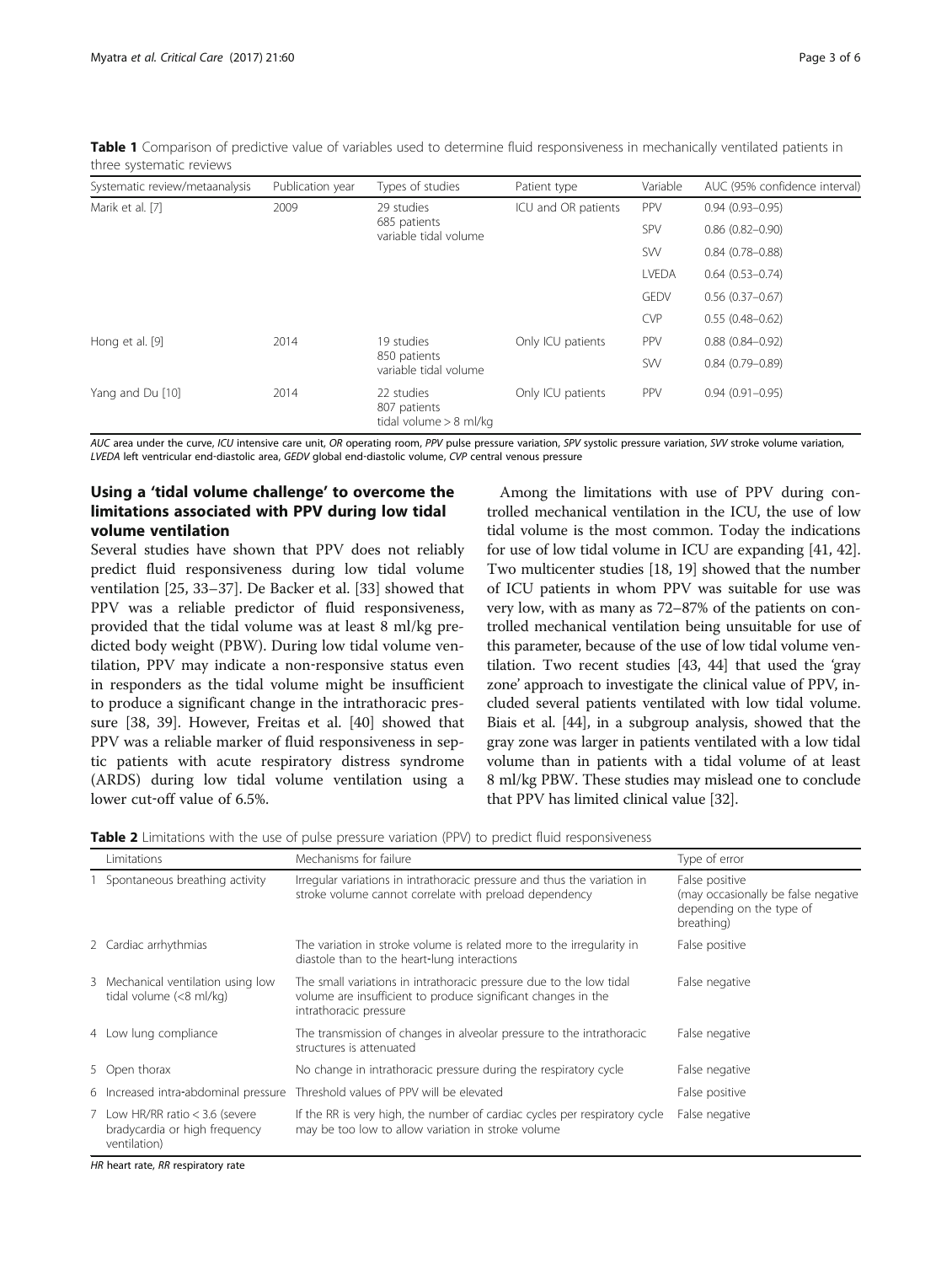<span id="page-2-0"></span>Table 1 Comparison of predictive value of variables used to determine fluid responsiveness in mechanically ventilated patients in three systematic reviews

| Systematic review/metaanalysis | Publication year | Types of studies                                       | Patient type        | Variable    | AUC (95% confidence interval) |
|--------------------------------|------------------|--------------------------------------------------------|---------------------|-------------|-------------------------------|
| Marik et al. [7]               | 2009             | 29 studies<br>685 patients<br>variable tidal volume    | ICU and OR patients | <b>PPV</b>  | $0.94(0.93 - 0.95)$           |
|                                |                  |                                                        |                     | SPV         | $0.86(0.82 - 0.90)$           |
|                                |                  |                                                        |                     | SW          | $0.84(0.78 - 0.88)$           |
|                                |                  |                                                        |                     | LVEDA       | $0.64(0.53 - 0.74)$           |
|                                |                  |                                                        |                     | <b>GEDV</b> | $0.56(0.37 - 0.67)$           |
|                                |                  |                                                        |                     | <b>CVP</b>  | $0.55(0.48 - 0.62)$           |
| Hong et al. [9]                | 2014             | 19 studies<br>850 patients<br>variable tidal volume    | Only ICU patients   | PPV         | $0.88(0.84 - 0.92)$           |
|                                |                  |                                                        |                     | SW          | $0.84(0.79 - 0.89)$           |
| Yang and Du [10]               | 2014             | 22 studies<br>807 patients<br>tidal volume $> 8$ ml/kg | Only ICU patients   | PPV         | $0.94(0.91 - 0.95)$           |

AUC area under the curve, ICU intensive care unit, OR operating room, PPV pulse pressure variation, SPV systolic pressure variation, SVV stroke volume variation, LVEDA left ventricular end-diastolic area, GEDV global end-diastolic volume, CVP central venous pressure

### Using a 'tidal volume challenge' to overcome the limitations associated with PPV during low tidal volume ventilation

Several studies have shown that PPV does not reliably predict fluid responsiveness during low tidal volume ventilation [[25, 33](#page-4-0)–[37](#page-4-0)]. De Backer et al. [\[33\]](#page-4-0) showed that PPV was a reliable predictor of fluid responsiveness, provided that the tidal volume was at least 8 ml/kg predicted body weight (PBW). During low tidal volume ventilation, PPV may indicate a non‐responsive status even in responders as the tidal volume might be insufficient to produce a significant change in the intrathoracic pressure [[38, 39](#page-5-0)]. However, Freitas et al. [[40](#page-5-0)] showed that PPV was a reliable marker of fluid responsiveness in septic patients with acute respiratory distress syndrome (ARDS) during low tidal volume ventilation using a lower cut-off value of 6.5%.

Among the limitations with use of PPV during controlled mechanical ventilation in the ICU, the use of low tidal volume is the most common. Today the indications for use of low tidal volume in ICU are expanding [\[41, 42](#page-5-0)]. Two multicenter studies [\[18, 19](#page-4-0)] showed that the number of ICU patients in whom PPV was suitable for use was very low, with as many as 72–87% of the patients on controlled mechanical ventilation being unsuitable for use of this parameter, because of the use of low tidal volume ventilation. Two recent studies [[43, 44\]](#page-5-0) that used the 'gray zone' approach to investigate the clinical value of PPV, included several patients ventilated with low tidal volume. Biais et al. [[44](#page-5-0)], in a subgroup analysis, showed that the gray zone was larger in patients ventilated with a low tidal volume than in patients with a tidal volume of at least 8 ml/kg PBW. These studies may mislead one to conclude that PPV has limited clinical value [\[32\]](#page-4-0).

**Table 2** Limitations with the use of pulse pressure variation (PPV) to predict fluid responsiveness

| Limitations                                                                      | Mechanisms for failure                                                                                                                                         | Type of error                                                                                   |
|----------------------------------------------------------------------------------|----------------------------------------------------------------------------------------------------------------------------------------------------------------|-------------------------------------------------------------------------------------------------|
| Spontaneous breathing activity                                                   | Irregular variations in intrathoracic pressure and thus the variation in<br>stroke volume cannot correlate with preload dependency                             | False positive<br>(may occasionally be false negative<br>depending on the type of<br>breathing) |
| 2 Cardiac arrhythmias                                                            | The variation in stroke volume is related more to the irregularity in<br>diastole than to the heart-lung interactions                                          | False positive                                                                                  |
| 3 Mechanical ventilation using low<br>tidal volume (<8 ml/kg)                    | The small variations in intrathoracic pressure due to the low tidal<br>volume are insufficient to produce significant changes in the<br>intrathoracic pressure | False negative                                                                                  |
| 4 Low lung compliance                                                            | The transmission of changes in alveolar pressure to the intrathoracic<br>structures is attenuated                                                              | False negative                                                                                  |
| 5 Open thorax                                                                    | No change in intrathoracic pressure during the respiratory cycle                                                                                               | False negative                                                                                  |
| 6 Increased intra-abdominal pressure                                             | Threshold values of PPV will be elevated                                                                                                                       | False positive                                                                                  |
| 7 Low HR/RR ratio < 3.6 (severe<br>bradycardia or high frequency<br>ventilation) | If the RR is very high, the number of cardiac cycles per respiratory cycle<br>may be too low to allow variation in stroke volume                               | False negative                                                                                  |

HR heart rate, RR respiratory rate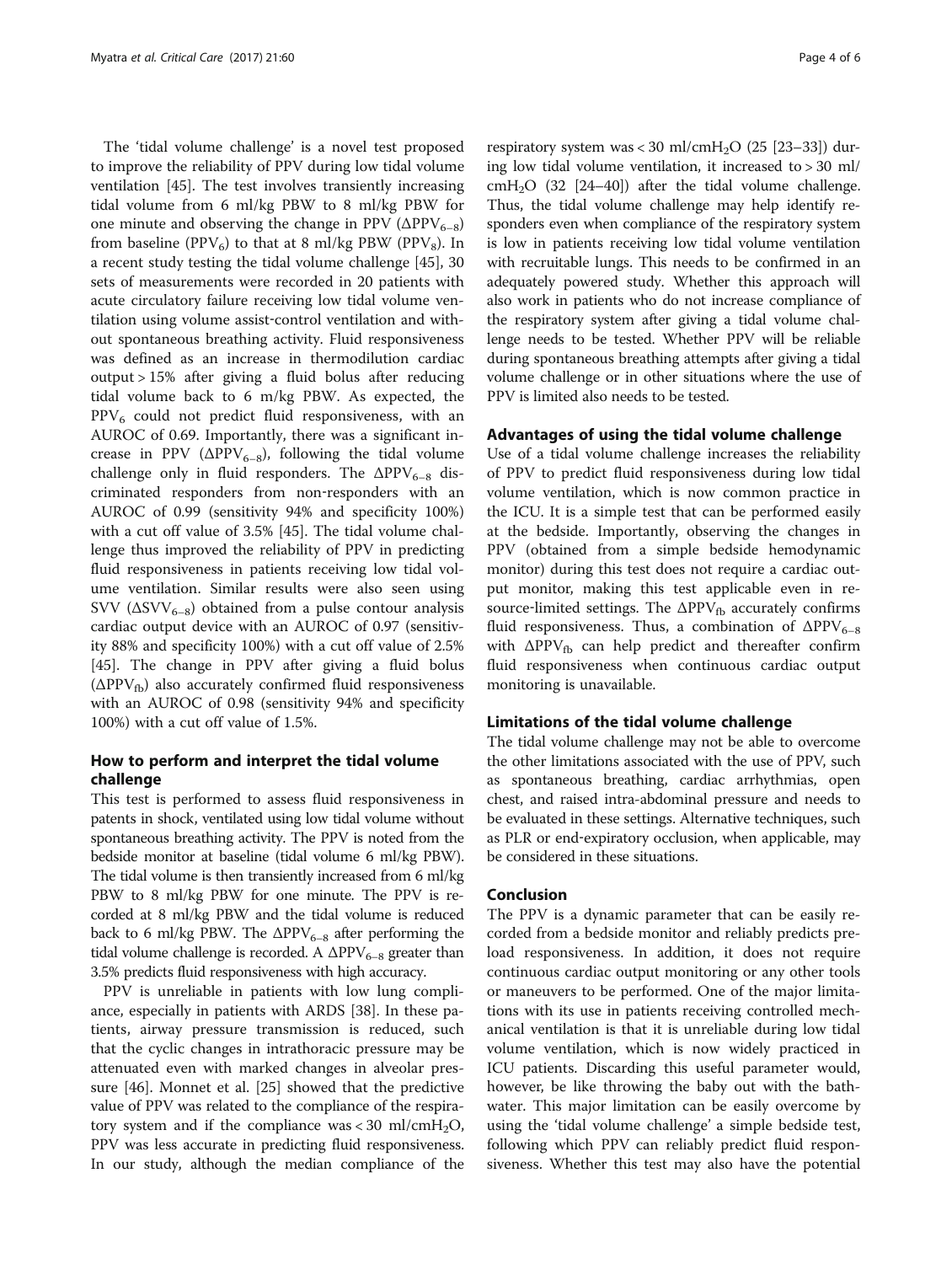The 'tidal volume challenge' is a novel test proposed to improve the reliability of PPV during low tidal volume ventilation [\[45\]](#page-5-0). The test involves transiently increasing tidal volume from 6 ml/kg PBW to 8 ml/kg PBW for one minute and observing the change in PPV ( $\Delta PPV_{6-8}$ ) from baseline (PPV<sub>6</sub>) to that at 8 ml/kg PBW (PPV<sub>8</sub>). In a recent study testing the tidal volume challenge [[45](#page-5-0)], 30 sets of measurements were recorded in 20 patients with acute circulatory failure receiving low tidal volume ventilation using volume assist-control ventilation and without spontaneous breathing activity. Fluid responsiveness was defined as an increase in thermodilution cardiac output > 15% after giving a fluid bolus after reducing tidal volume back to 6 m/kg PBW. As expected, the  $PPV<sub>6</sub>$  could not predict fluid responsiveness, with an AUROC of 0.69. Importantly, there was a significant increase in PPV ( $\Delta PPV_{6-8}$ ), following the tidal volume challenge only in fluid responders. The  $\Delta PPV_{6-8}$  discriminated responders from non-responders with an AUROC of 0.99 (sensitivity 94% and specificity 100%) with a cut off value of 3.5% [[45](#page-5-0)]. The tidal volume challenge thus improved the reliability of PPV in predicting fluid responsiveness in patients receiving low tidal volume ventilation. Similar results were also seen using SVV ( $\Delta$ SVV<sub>6–8</sub>) obtained from a pulse contour analysis cardiac output device with an AUROC of 0.97 (sensitivity 88% and specificity 100%) with a cut off value of 2.5% [[45\]](#page-5-0). The change in PPV after giving a fluid bolus  $(\Delta PPV_{fb})$  also accurately confirmed fluid responsiveness with an AUROC of 0.98 (sensitivity 94% and specificity 100%) with a cut off value of 1.5%.

### How to perform and interpret the tidal volume challenge

This test is performed to assess fluid responsiveness in patents in shock, ventilated using low tidal volume without spontaneous breathing activity. The PPV is noted from the bedside monitor at baseline (tidal volume 6 ml/kg PBW). The tidal volume is then transiently increased from 6 ml/kg PBW to 8 ml/kg PBW for one minute. The PPV is recorded at 8 ml/kg PBW and the tidal volume is reduced back to 6 ml/kg PBW. The  $\Delta PPV_{6-8}$  after performing the tidal volume challenge is recorded. A  $\Delta PPV_{6-8}$  greater than 3.5% predicts fluid responsiveness with high accuracy.

PPV is unreliable in patients with low lung compliance, especially in patients with ARDS [[38](#page-5-0)]. In these patients, airway pressure transmission is reduced, such that the cyclic changes in intrathoracic pressure may be attenuated even with marked changes in alveolar pressure [[46\]](#page-5-0). Monnet et al. [\[25\]](#page-4-0) showed that the predictive value of PPV was related to the compliance of the respiratory system and if the compliance was < 30 ml/cmH<sub>2</sub>O, PPV was less accurate in predicting fluid responsiveness. In our study, although the median compliance of the

respiratory system was < 30 ml/cmH<sub>2</sub>O (25 [[23](#page-4-0)-[33\]](#page-4-0)) during low tidal volume ventilation, it increased to > 30 ml/  $cmH<sub>2</sub>O$  (32 [[24](#page-4-0)-[40\]](#page-5-0)) after the tidal volume challenge. Thus, the tidal volume challenge may help identify responders even when compliance of the respiratory system is low in patients receiving low tidal volume ventilation with recruitable lungs. This needs to be confirmed in an adequately powered study. Whether this approach will also work in patients who do not increase compliance of the respiratory system after giving a tidal volume challenge needs to be tested. Whether PPV will be reliable during spontaneous breathing attempts after giving a tidal volume challenge or in other situations where the use of PPV is limited also needs to be tested.

### Advantages of using the tidal volume challenge

Use of a tidal volume challenge increases the reliability of PPV to predict fluid responsiveness during low tidal volume ventilation, which is now common practice in the ICU. It is a simple test that can be performed easily at the bedside. Importantly, observing the changes in PPV (obtained from a simple bedside hemodynamic monitor) during this test does not require a cardiac output monitor, making this test applicable even in resource-limited settings. The  $\Delta PPV_{fb}$  accurately confirms fluid responsiveness. Thus, a combination of  $\Delta PPV_{6-8}$ with  $\Delta PPV_{fb}$  can help predict and thereafter confirm fluid responsiveness when continuous cardiac output monitoring is unavailable.

### Limitations of the tidal volume challenge

The tidal volume challenge may not be able to overcome the other limitations associated with the use of PPV, such as spontaneous breathing, cardiac arrhythmias, open chest, and raised intra-abdominal pressure and needs to be evaluated in these settings. Alternative techniques, such as PLR or end‐expiratory occlusion, when applicable, may be considered in these situations.

### Conclusion

The PPV is a dynamic parameter that can be easily recorded from a bedside monitor and reliably predicts preload responsiveness. In addition, it does not require continuous cardiac output monitoring or any other tools or maneuvers to be performed. One of the major limitations with its use in patients receiving controlled mechanical ventilation is that it is unreliable during low tidal volume ventilation, which is now widely practiced in ICU patients. Discarding this useful parameter would, however, be like throwing the baby out with the bathwater. This major limitation can be easily overcome by using the 'tidal volume challenge' a simple bedside test, following which PPV can reliably predict fluid responsiveness. Whether this test may also have the potential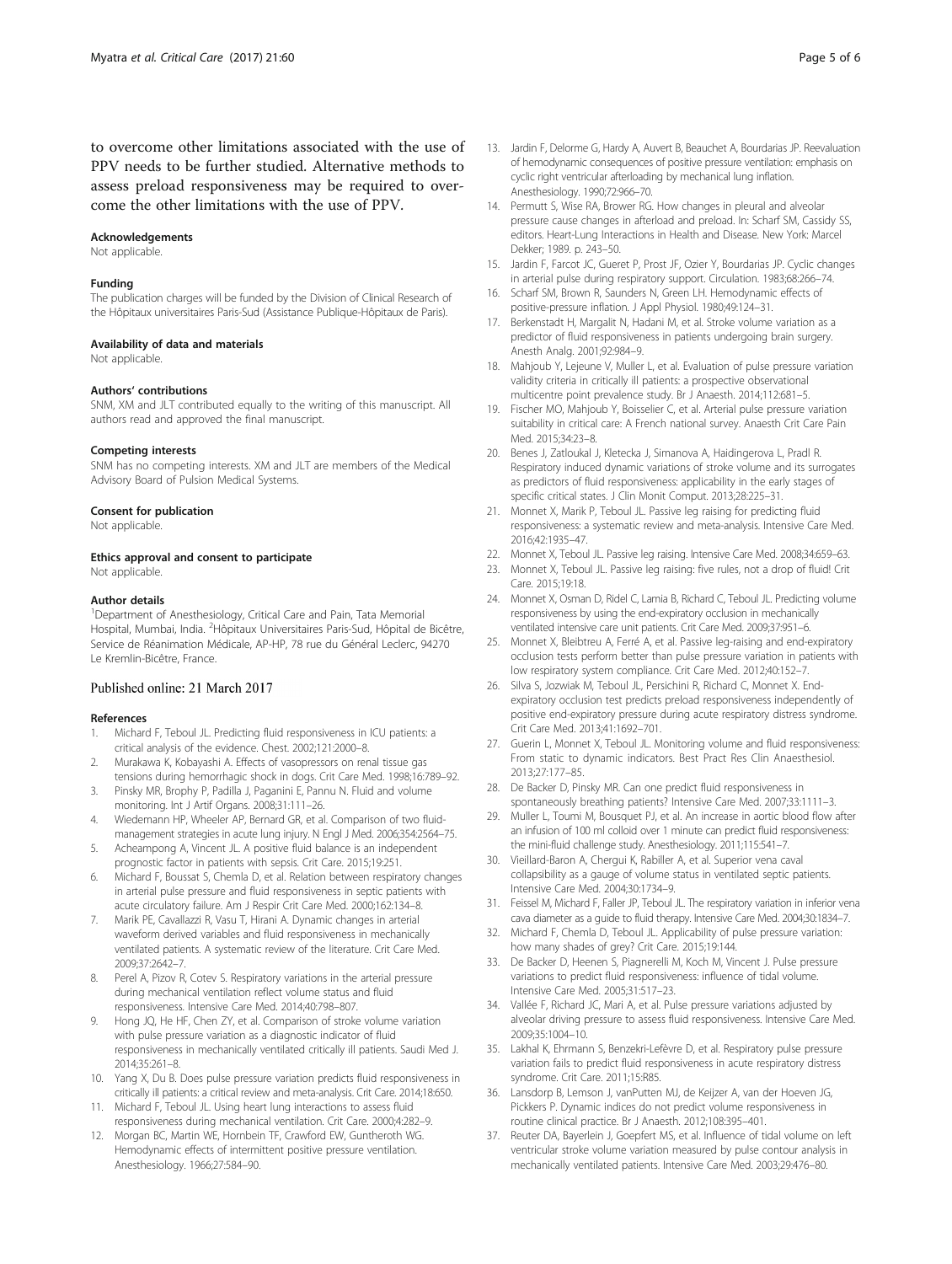<span id="page-4-0"></span>to overcome other limitations associated with the use of PPV needs to be further studied. Alternative methods to assess preload responsiveness may be required to overcome the other limitations with the use of PPV.

#### Acknowledgements

Not applicable.

#### Funding

The publication charges will be funded by the Division of Clinical Research of the Hôpitaux universitaires Paris-Sud (Assistance Publique-Hôpitaux de Paris).

#### Availability of data and materials

Not applicable.

#### Authors' contributions

SNM, XM and JLT contributed equally to the writing of this manuscript. All authors read and approved the final manuscript.

### Competing interests

SNM has no competing interests. XM and JLT are members of the Medical Advisory Board of Pulsion Medical Systems.

#### Consent for publication

Not applicable.

### Ethics approval and consent to participate

Not applicable.

#### Author details

<sup>1</sup>Department of Anesthesiology, Critical Care and Pain, Tata Memorial Hospital, Mumbai, India. <sup>2</sup> Hôpitaux Universitaires Paris-Sud, Hôpital de Bicêtre, Service de Réanimation Médicale, AP-HP, 78 rue du Général Leclerc, 94270 Le Kremlin-Bicêtre, France.

### Published online: 21 March 2017

#### References

- 1. Michard F, Teboul JL. Predicting fluid responsiveness in ICU patients: a critical analysis of the evidence. Chest. 2002;121:2000–8.
- 2. Murakawa K, Kobayashi A. Effects of vasopressors on renal tissue gas tensions during hemorrhagic shock in dogs. Crit Care Med. 1998;16:789–92.
- 3. Pinsky MR, Brophy P, Padilla J, Paganini E, Pannu N. Fluid and volume monitoring. Int J Artif Organs. 2008;31:111–26.
- 4. Wiedemann HP, Wheeler AP, Bernard GR, et al. Comparison of two fluidmanagement strategies in acute lung injury. N Engl J Med. 2006;354:2564–75.
- 5. Acheampong A, Vincent JL. A positive fluid balance is an independent prognostic factor in patients with sepsis. Crit Care. 2015;19:251.
- 6. Michard F, Boussat S, Chemla D, et al. Relation between respiratory changes in arterial pulse pressure and fluid responsiveness in septic patients with acute circulatory failure. Am J Respir Crit Care Med. 2000;162:134–8.
- 7. Marik PE, Cavallazzi R, Vasu T, Hirani A. Dynamic changes in arterial waveform derived variables and fluid responsiveness in mechanically ventilated patients. A systematic review of the literature. Crit Care Med. 2009;37:2642–7.
- Perel A, Pizov R, Cotev S. Respiratory variations in the arterial pressure during mechanical ventilation reflect volume status and fluid responsiveness. Intensive Care Med. 2014;40:798–807.
- Hong JQ, He HF, Chen ZY, et al. Comparison of stroke volume variation with pulse pressure variation as a diagnostic indicator of fluid responsiveness in mechanically ventilated critically ill patients. Saudi Med J. 2014;35:261–8.
- 10. Yang X, Du B. Does pulse pressure variation predicts fluid responsiveness in critically ill patients: a critical review and meta-analysis. Crit Care. 2014;18:650.
- 11. Michard F, Teboul JL. Using heart lung interactions to assess fluid responsiveness during mechanical ventilation. Crit Care. 2000;4:282–9.
- 12. Morgan BC, Martin WE, Hornbein TF, Crawford EW, Guntheroth WG. Hemodynamic effects of intermittent positive pressure ventilation. Anesthesiology. 1966;27:584–90.
- 13. Jardin F, Delorme G, Hardy A, Auvert B, Beauchet A, Bourdarias JP. Reevaluation of hemodynamic consequences of positive pressure ventilation: emphasis on cyclic right ventricular afterloading by mechanical lung inflation. Anesthesiology. 1990;72:966–70.
- 14. Permutt S, Wise RA, Brower RG. How changes in pleural and alveolar pressure cause changes in afterload and preload. In: Scharf SM, Cassidy SS, editors. Heart-Lung Interactions in Health and Disease. New York: Marcel Dekker; 1989. p. 243–50.
- 15. Jardin F, Farcot JC, Gueret P, Prost JF, Ozier Y, Bourdarias JP. Cyclic changes in arterial pulse during respiratory support. Circulation. 1983;68:266–74.
- 16. Scharf SM, Brown R, Saunders N, Green LH. Hemodynamic effects of positive-pressure inflation. J Appl Physiol. 1980;49:124–31.
- 17. Berkenstadt H, Margalit N, Hadani M, et al. Stroke volume variation as a predictor of fluid responsiveness in patients undergoing brain surgery. Anesth Analg. 2001;92:984–9.
- 18. Mahjoub Y, Lejeune V, Muller L, et al. Evaluation of pulse pressure variation validity criteria in critically ill patients: a prospective observational multicentre point prevalence study. Br J Anaesth. 2014;112:681–5.
- 19. Fischer MO, Mahjoub Y, Boisselier C, et al. Arterial pulse pressure variation suitability in critical care: A French national survey. Anaesth Crit Care Pain Med. 2015;34:23–8.
- 20. Benes J, Zatloukal J, Kletecka J, Simanova A, Haidingerova L, Pradl R. Respiratory induced dynamic variations of stroke volume and its surrogates as predictors of fluid responsiveness: applicability in the early stages of specific critical states. J Clin Monit Comput. 2013;28:225–31.
- 21. Monnet X, Marik P, Teboul JL. Passive leg raising for predicting fluid responsiveness: a systematic review and meta-analysis. Intensive Care Med. 2016;42:1935–47.
- 22. Monnet X, Teboul JL. Passive leg raising. Intensive Care Med. 2008;34:659–63.
- 23. Monnet X, Teboul JL. Passive leg raising: five rules, not a drop of fluid! Crit Care. 2015;19:18.
- 24. Monnet X, Osman D, Ridel C, Lamia B, Richard C, Teboul JL. Predicting volume responsiveness by using the end-expiratory occlusion in mechanically ventilated intensive care unit patients. Crit Care Med. 2009;37:951–6.
- 25. Monnet X, Bleibtreu A, Ferré A, et al. Passive leg-raising and end-expiratory occlusion tests perform better than pulse pressure variation in patients with low respiratory system compliance. Crit Care Med. 2012;40:152–7.
- 26. Silva S, Jozwiak M, Teboul JL, Persichini R, Richard C, Monnet X. Endexpiratory occlusion test predicts preload responsiveness independently of positive end-expiratory pressure during acute respiratory distress syndrome. Crit Care Med. 2013;41:1692–701.
- 27. Guerin L, Monnet X, Teboul JL. Monitoring volume and fluid responsiveness: From static to dynamic indicators. Best Pract Res Clin Anaesthesiol. 2013;27:177–85.
- 28. De Backer D, Pinsky MR. Can one predict fluid responsiveness in spontaneously breathing patients? Intensive Care Med. 2007;33:1111–3.
- 29. Muller L, Toumi M, Bousquet PJ, et al. An increase in aortic blood flow after an infusion of 100 ml colloid over 1 minute can predict fluid responsiveness: the mini-fluid challenge study. Anesthesiology. 2011;115:541–7.
- 30. Vieillard-Baron A, Chergui K, Rabiller A, et al. Superior vena caval collapsibility as a gauge of volume status in ventilated septic patients. Intensive Care Med. 2004;30:1734–9.
- 31. Feissel M, Michard F, Faller JP, Teboul JL. The respiratory variation in inferior vena cava diameter as a guide to fluid therapy. Intensive Care Med. 2004;30:1834–7.
- 32. Michard F, Chemla D, Teboul JL. Applicability of pulse pressure variation: how many shades of grey? Crit Care. 2015;19:144.
- 33. De Backer D, Heenen S, Piagnerelli M, Koch M, Vincent J. Pulse pressure variations to predict fluid responsiveness: influence of tidal volume. Intensive Care Med. 2005;31:517–23.
- 34. Vallée F, Richard JC, Mari A, et al. Pulse pressure variations adjusted by alveolar driving pressure to assess fluid responsiveness. Intensive Care Med. 2009;35:1004–10.
- 35. Lakhal K, Ehrmann S, Benzekri-Lefèvre D, et al. Respiratory pulse pressure variation fails to predict fluid responsiveness in acute respiratory distress syndrome. Crit Care. 2011;15:R85.
- 36. Lansdorp B, Lemson J, vanPutten MJ, de Keijzer A, van der Hoeven JG, Pickkers P. Dynamic indices do not predict volume responsiveness in routine clinical practice. Br J Anaesth. 2012;108:395–401.
- 37. Reuter DA, Bayerlein J, Goepfert MS, et al. Influence of tidal volume on left ventricular stroke volume variation measured by pulse contour analysis in mechanically ventilated patients. Intensive Care Med. 2003;29:476–80.